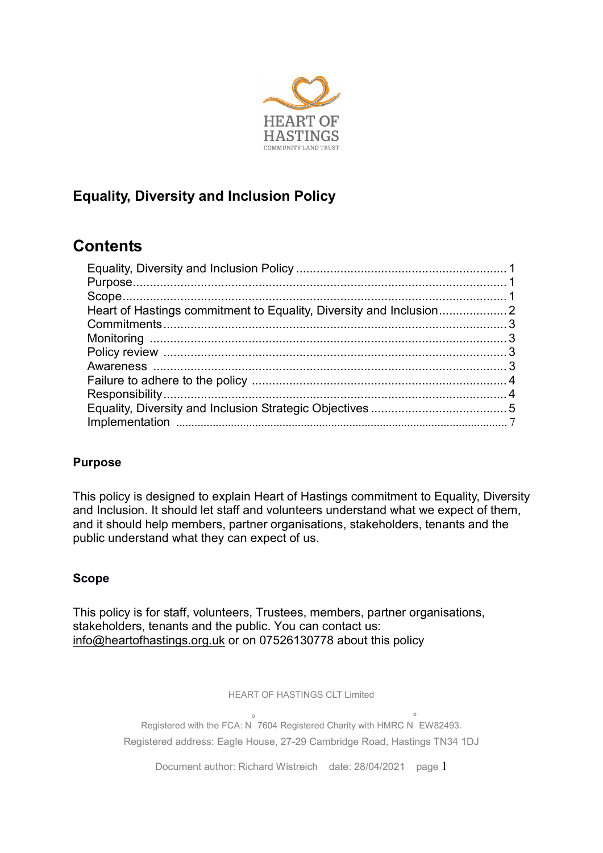

## Equality, Diversity and Inclusion Policy

# **Contents**

## Purpose

This policy is designed to explain Heart of Hastings commitment to Equality, Diversity and Inclusion. It should let staff and volunteers understand what we expect of them, and it should help members, partner organisations, stakeholders, tenants and the public understand what they can expect of us.

## Scope

This policy is for staff, volunteers, Trustees, members, partner organisations, stakeholders, tenants and the public. You can contact us: info@heartofhastings.org.uk or on 07526130778 about this policy

HEART OF HASTINGS CLT Limited

Registered with the FCA: N º 7604 Registered Charity with HMRC N º EW82493. Registered address: Eagle House, 27-29 Cambridge Road, Hastings TN34 1DJ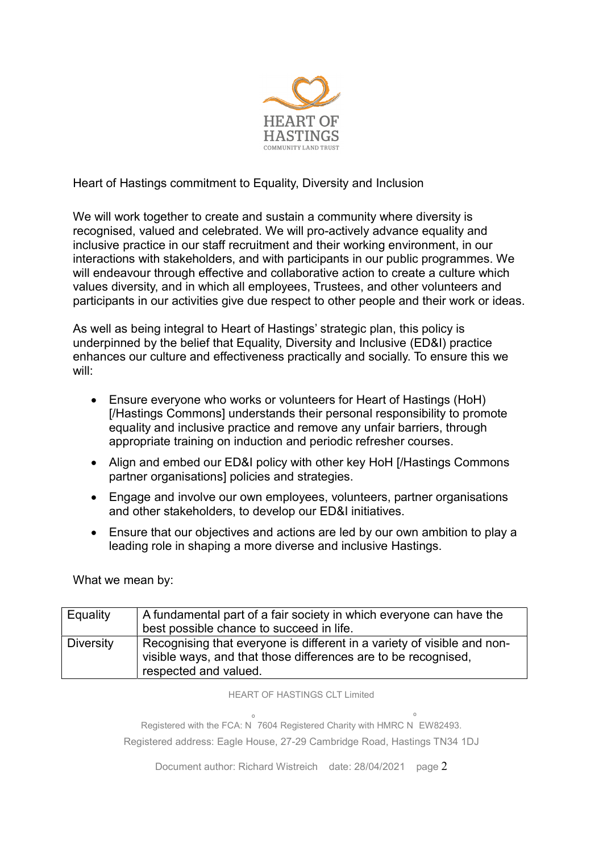

Heart of Hastings commitment to Equality, Diversity and Inclusion

We will work together to create and sustain a community where diversity is recognised, valued and celebrated. We will pro-actively advance equality and inclusive practice in our staff recruitment and their working environment, in our interactions with stakeholders, and with participants in our public programmes. We will endeavour through effective and collaborative action to create a culture which values diversity, and in which all employees, Trustees, and other volunteers and participants in our activities give due respect to other people and their work or ideas.

As well as being integral to Heart of Hastings' strategic plan, this policy is underpinned by the belief that Equality, Diversity and Inclusive (ED&I) practice enhances our culture and effectiveness practically and socially. To ensure this we will:

- Ensure everyone who works or volunteers for Heart of Hastings (HoH) [/Hastings Commons] understands their personal responsibility to promote equality and inclusive practice and remove any unfair barriers, through appropriate training on induction and periodic refresher courses.
- Align and embed our ED&I policy with other key HoH [/Hastings Commons partner organisations] policies and strategies.
- Engage and involve our own employees, volunteers, partner organisations and other stakeholders, to develop our ED&I initiatives.
- Ensure that our objectives and actions are led by our own ambition to play a leading role in shaping a more diverse and inclusive Hastings.

What we mean by:

| Equality         | A fundamental part of a fair society in which everyone can have the     |
|------------------|-------------------------------------------------------------------------|
|                  |                                                                         |
|                  | best possible chance to succeed in life.                                |
| <b>Diversity</b> | Recognising that everyone is different in a variety of visible and non- |
|                  |                                                                         |
|                  | visible ways, and that those differences are to be recognised,          |
|                  | respected and valued.                                                   |

HEART OF HASTINGS CLT Limited

Registered with the FCA: N º 7604 Registered Charity with HMRC N º EW82493. Registered address: Eagle House, 27-29 Cambridge Road, Hastings TN34 1DJ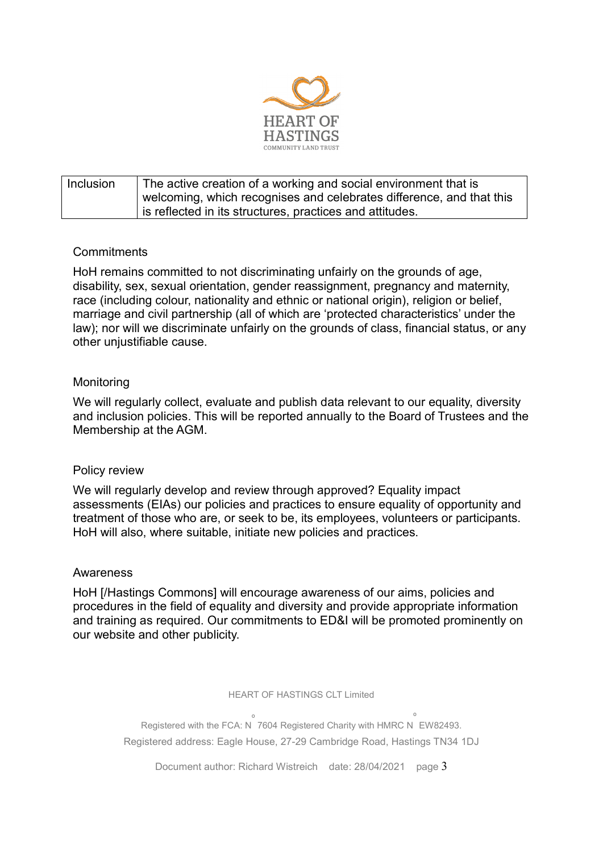

| <b>Inclusion</b> | The active creation of a working and social environment that is<br>welcoming, which recognises and celebrates difference, and that this |
|------------------|-----------------------------------------------------------------------------------------------------------------------------------------|
|                  | is reflected in its structures, practices and attitudes.                                                                                |

#### **Commitments**

HoH remains committed to not discriminating unfairly on the grounds of age, disability, sex, sexual orientation, gender reassignment, pregnancy and maternity, race (including colour, nationality and ethnic or national origin), religion or belief, marriage and civil partnership (all of which are 'protected characteristics' under the law); nor will we discriminate unfairly on the grounds of class, financial status, or any other unjustifiable cause.

#### Monitoring

We will regularly collect, evaluate and publish data relevant to our equality, diversity and inclusion policies. This will be reported annually to the Board of Trustees and the Membership at the AGM.

#### Policy review

We will regularly develop and review through approved? Equality impact assessments (EIAs) our policies and practices to ensure equality of opportunity and treatment of those who are, or seek to be, its employees, volunteers or participants. HoH will also, where suitable, initiate new policies and practices.

#### Awareness

HoH [/Hastings Commons] will encourage awareness of our aims, policies and procedures in the field of equality and diversity and provide appropriate information and training as required. Our commitments to ED&I will be promoted prominently on our website and other publicity.

HEART OF HASTINGS CLT Limited

Registered with the FCA: N º 7604 Registered Charity with HMRC N º EW82493. Registered address: Eagle House, 27-29 Cambridge Road, Hastings TN34 1DJ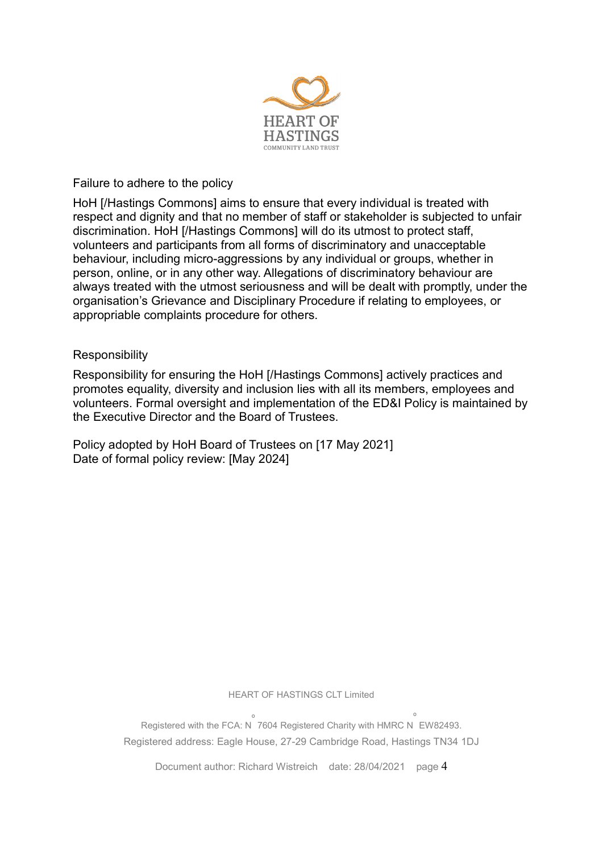

#### Failure to adhere to the policy

HoH [/Hastings Commons] aims to ensure that every individual is treated with respect and dignity and that no member of staff or stakeholder is subjected to unfair discrimination. HoH [/Hastings Commons] will do its utmost to protect staff, volunteers and participants from all forms of discriminatory and unacceptable behaviour, including micro-aggressions by any individual or groups, whether in person, online, or in any other way. Allegations of discriminatory behaviour are always treated with the utmost seriousness and will be dealt with promptly, under the organisation's Grievance and Disciplinary Procedure if relating to employees, or appropriable complaints procedure for others.

#### **Responsibility**

Responsibility for ensuring the HoH [/Hastings Commons] actively practices and promotes equality, diversity and inclusion lies with all its members, employees and volunteers. Formal oversight and implementation of the ED&I Policy is maintained by the Executive Director and the Board of Trustees.

Policy adopted by HoH Board of Trustees on [17 May 2021] Date of formal policy review: [May 2024]

HEART OF HASTINGS CLT Limited

Registered with the FCA: N º 7604 Registered Charity with HMRC N º EW82493. Registered address: Eagle House, 27-29 Cambridge Road, Hastings TN34 1DJ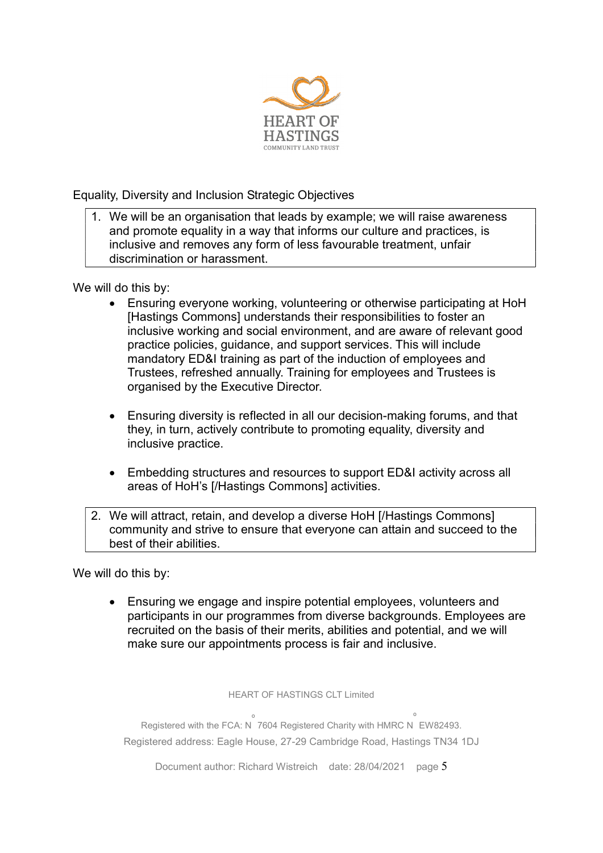

Equality, Diversity and Inclusion Strategic Objectives

1. We will be an organisation that leads by example; we will raise awareness and promote equality in a way that informs our culture and practices, is inclusive and removes any form of less favourable treatment, unfair discrimination or harassment.

We will do this by:

- Ensuring everyone working, volunteering or otherwise participating at HoH [Hastings Commons] understands their responsibilities to foster an inclusive working and social environment, and are aware of relevant good practice policies, guidance, and support services. This will include mandatory ED&I training as part of the induction of employees and Trustees, refreshed annually. Training for employees and Trustees is organised by the Executive Director.
- Ensuring diversity is reflected in all our decision-making forums, and that they, in turn, actively contribute to promoting equality, diversity and inclusive practice.
- Embedding structures and resources to support ED&I activity across all areas of HoH's [/Hastings Commons] activities.
- 2. We will attract, retain, and develop a diverse HoH [/Hastings Commons] community and strive to ensure that everyone can attain and succeed to the best of their abilities.

We will do this by:

 Ensuring we engage and inspire potential employees, volunteers and participants in our programmes from diverse backgrounds. Employees are recruited on the basis of their merits, abilities and potential, and we will make sure our appointments process is fair and inclusive.

HEART OF HASTINGS CLT Limited

Registered with the FCA: N º 7604 Registered Charity with HMRC N º EW82493. Registered address: Eagle House, 27-29 Cambridge Road, Hastings TN34 1DJ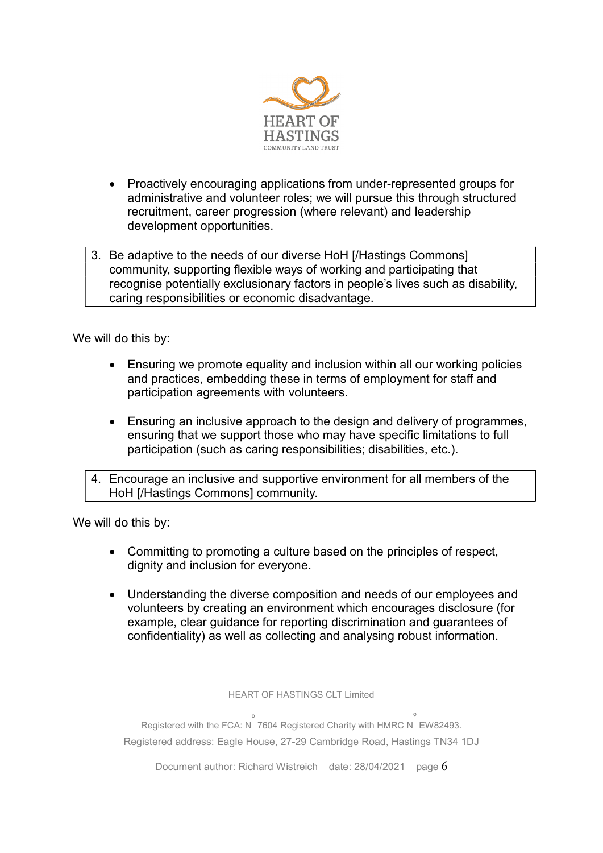

- Proactively encouraging applications from under-represented groups for administrative and volunteer roles; we will pursue this through structured recruitment, career progression (where relevant) and leadership development opportunities.
- 3. Be adaptive to the needs of our diverse HoH [/Hastings Commons] community, supporting flexible ways of working and participating that recognise potentially exclusionary factors in people's lives such as disability, caring responsibilities or economic disadvantage.

We will do this by:

- Ensuring we promote equality and inclusion within all our working policies and practices, embedding these in terms of employment for staff and participation agreements with volunteers.
- Ensuring an inclusive approach to the design and delivery of programmes, ensuring that we support those who may have specific limitations to full participation (such as caring responsibilities; disabilities, etc.).
- 4. Encourage an inclusive and supportive environment for all members of the HoH [/Hastings Commons] community.

We will do this by:

- Committing to promoting a culture based on the principles of respect, dignity and inclusion for everyone.
- Understanding the diverse composition and needs of our employees and volunteers by creating an environment which encourages disclosure (for example, clear guidance for reporting discrimination and guarantees of confidentiality) as well as collecting and analysing robust information.

HEART OF HASTINGS CLT Limited

Registered with the FCA: N º 7604 Registered Charity with HMRC N º EW82493. Registered address: Eagle House, 27-29 Cambridge Road, Hastings TN34 1DJ